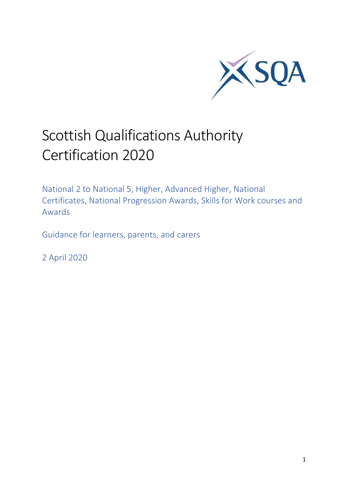

# Scottish Qualifications Authority Certification 2020

National 2 to National 5, Higher, Advanced Higher, National Certificates, National Progression Awards, Skills for Work courses and Awards

Guidance for learners, parents, and carers

2 April 2020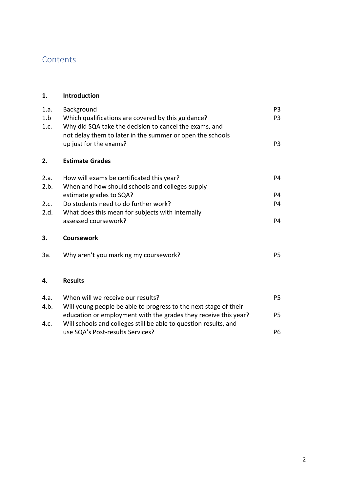# **Contents**

# **1. Introduction** 1.a. Background P3 1.b Which qualifications are covered by this guidance? P3 1.c. Why did SQA take the decision to cancel the exams, and not delay them to later in the summer or open the schools up just for the exams? P3 **2. Estimate Grades** 2.a. How will exams be certificated this year? P4 2.b. When and how should schools and colleges supply estimate grades to SQA? P4 2.c. Do students need to do further work? P4 2.d. What does this mean for subjects with internally assessed coursework? P4 **3. Coursework** 3a. Why aren't you marking my coursework? **4. Results** 4.a. When will we receive our results? P5 4.b. Will young people be able to progress to the next stage of their education or employment with the grades they receive this year? P5 4.c. Will schools and colleges still be able to question results, and use SQA's Post-results Services? P6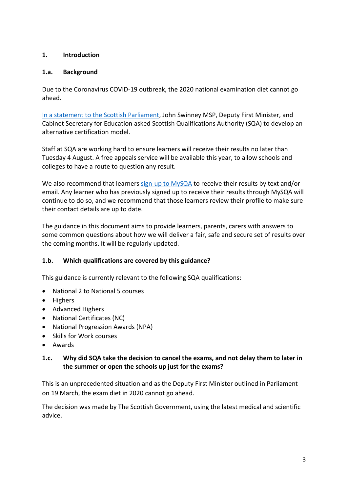# **1. Introduction**

#### **1.a. Background**

Due to the Coronavirus COVID-19 outbreak, the 2020 national examination diet cannot go ahead.

[In a statement to the Scottish Parliament,](https://www.gov.scot/publications/statement-covid19-managing-impacts-scottish-education/) John Swinney MSP, Deputy First Minister, and Cabinet Secretary for Education asked Scottish Qualifications Authority (SQA) to develop an alternative certification model.

Staff at SQA are working hard to ensure learners will receive their results no later than Tuesday 4 August. A free appeals service will be available this year, to allow schools and colleges to have a route to question any result.

We also recommend that learners [sign-up to MySQA](https://www.mysqa.org.uk/cs8/content/secure/my_homepage.jsp) to receive their results by text and/or email. Any learner who has previously signed up to receive their results through MySQA will continue to do so, and we recommend that those learners review their profile to make sure their contact details are up to date.

The guidance in this document aims to provide learners, parents, carers with answers to some common questions about how we will deliver a fair, safe and secure set of results over the coming months. It will be regularly updated.

#### **1.b. Which qualifications are covered by this guidance?**

This guidance is currently relevant to the following SQA qualifications:

- National 2 to National 5 courses
- Highers
- Advanced Highers
- National Certificates (NC)
- National Progression Awards (NPA)
- Skills for Work courses
- Awards

# **1.c. Why did SQA take the decision to cancel the exams, and not delay them to later in the summer or open the schools up just for the exams?**

This is an unprecedented situation and as the Deputy First Minister outlined in Parliament on 19 March, the exam diet in 2020 cannot go ahead.

The decision was made by The Scottish Government, using the latest medical and scientific advice.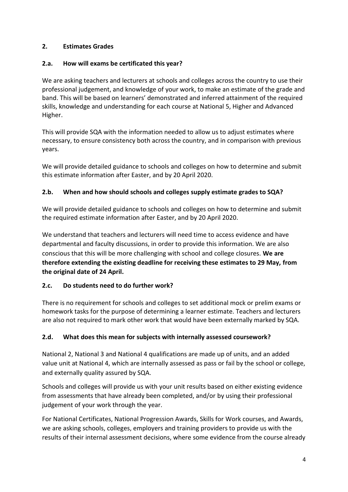# **2. Estimates Grades**

# **2.a. How will exams be certificated this year?**

We are asking teachers and lecturers at schools and colleges across the country to use their professional judgement, and knowledge of your work, to make an estimate of the grade and band. This will be based on learners' demonstrated and inferred attainment of the required skills, knowledge and understanding for each course at National 5, Higher and Advanced Higher.

This will provide SQA with the information needed to allow us to adjust estimates where necessary, to ensure consistency both across the country, and in comparison with previous years.

We will provide detailed guidance to schools and colleges on how to determine and submit this estimate information after Easter, and by 20 April 2020.

# **2.b. When and how should schools and colleges supply estimate grades to SQA?**

We will provide detailed guidance to schools and colleges on how to determine and submit the required estimate information after Easter, and by 20 April 2020.

We understand that teachers and lecturers will need time to access evidence and have departmental and faculty discussions, in order to provide this information. We are also conscious that this will be more challenging with school and college closures. **We are therefore extending the existing deadline for receiving these estimates to 29 May, from the original date of 24 April.**

# **2.c. Do students need to do further work?**

There is no requirement for schools and colleges to set additional mock or prelim exams or homework tasks for the purpose of determining a learner estimate. Teachers and lecturers are also not required to mark other work that would have been externally marked by SQA.

# **2.d. What does this mean for subjects with internally assessed coursework?**

National 2, National 3 and National 4 qualifications are made up of units, and an added value unit at National 4, which are internally assessed as pass or fail by the school or college, and externally quality assured by SQA.

Schools and colleges will provide us with your unit results based on either existing evidence from assessments that have already been completed, and/or by using their professional judgement of your work through the year.

For National Certificates, National Progression Awards, Skills for Work courses, and Awards, we are asking schools, colleges, employers and training providers to provide us with the results of their internal assessment decisions, where some evidence from the course already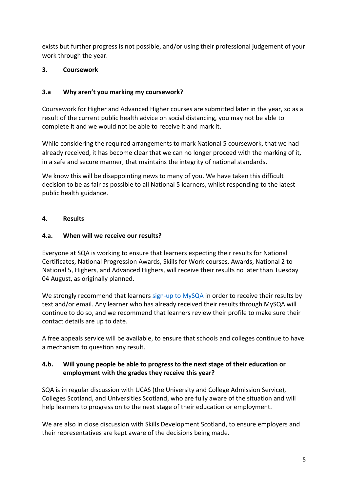exists but further progress is not possible, and/or using their professional judgement of your work through the year.

# **3. Coursework**

# **3.a Why aren't you marking my coursework?**

Coursework for Higher and Advanced Higher courses are submitted later in the year, so as a result of the current public health advice on social distancing, you may not be able to complete it and we would not be able to receive it and mark it.

While considering the required arrangements to mark National 5 coursework, that we had already received, it has become clear that we can no longer proceed with the marking of it, in a safe and secure manner, that maintains the integrity of national standards.

We know this will be disappointing news to many of you. We have taken this difficult decision to be as fair as possible to all National 5 learners, whilst responding to the latest public health guidance.

# **4. Results**

# **4.a. When will we receive our results?**

Everyone at SQA is working to ensure that learners expecting their results for National Certificates, National Progression Awards, Skills for Work courses, Awards, National 2 to National 5, Highers, and Advanced Highers, will receive their results no later than Tuesday 04 August, as originally planned.

We strongly recommend that learners [sign-up to MySQA](https://www.mysqa.org.uk/cs8/content/secure/my_homepage.jsp) in order to receive their results by text and/or email. Any learner who has already received their results through MySQA will continue to do so, and we recommend that learners review their profile to make sure their contact details are up to date.

A free appeals service will be available, to ensure that schools and colleges continue to have a mechanism to question any result.

# **4.b. Will young people be able to progress to the next stage of their education or employment with the grades they receive this year?**

SQA is in regular discussion with UCAS (the University and College Admission Service), Colleges Scotland, and Universities Scotland, who are fully aware of the situation and will help learners to progress on to the next stage of their education or employment.

We are also in close discussion with Skills Development Scotland, to ensure employers and their representatives are kept aware of the decisions being made.